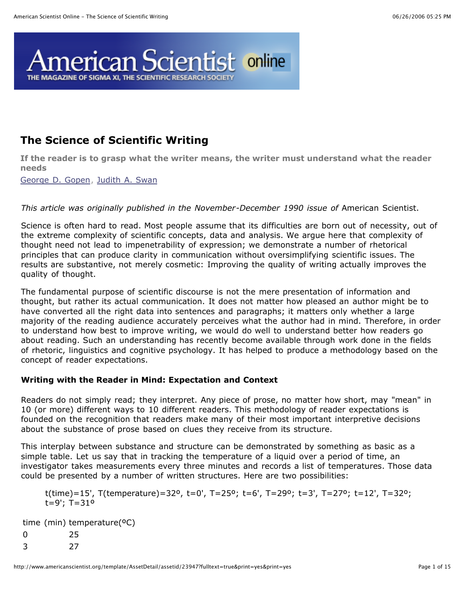

# **The Science of Scientific Writing**

**If the reader is to grasp what the writer means, the writer must understand what the reader needs**

George D. Gopen, Judith A. Swan

# *This article was originally published in the November-December 1990 issue of* American Scientist.

Science is often hard to read. Most people assume that its difficulties are born out of necessity, out of the extreme complexity of scientific concepts, data and analysis. We argue here that complexity of thought need not lead to impenetrability of expression; we demonstrate a number of rhetorical principles that can produce clarity in communication without oversimplifying scientific issues. The results are substantive, not merely cosmetic: Improving the quality of writing actually improves the quality of thought.

The fundamental purpose of scientific discourse is not the mere presentation of information and thought, but rather its actual communication. It does not matter how pleased an author might be to have converted all the right data into sentences and paragraphs; it matters only whether a large majority of the reading audience accurately perceives what the author had in mind. Therefore, in order to understand how best to improve writing, we would do well to understand better how readers go about reading. Such an understanding has recently become available through work done in the fields of rhetoric, linguistics and cognitive psychology. It has helped to produce a methodology based on the concept of reader expectations.

# **Writing with the Reader in Mind: Expectation and Context**

Readers do not simply read; they interpret. Any piece of prose, no matter how short, may "mean" in 10 (or more) different ways to 10 different readers. This methodology of reader expectations is founded on the recognition that readers make many of their most important interpretive decisions about the substance of prose based on clues they receive from its structure.

This interplay between substance and structure can be demonstrated by something as basic as a simple table. Let us say that in tracking the temperature of a liquid over a period of time, an investigator takes measurements every three minutes and records a list of temperatures. Those data could be presented by a number of written structures. Here are two possibilities:

t(time)=15', T(temperature)=32º, t=0', T=25º; t=6', T=29º; t=3', T=27º; t=12', T=32º; t=9'; T=31º

time (min) temperature(ºC)

- 0 25
- 3 27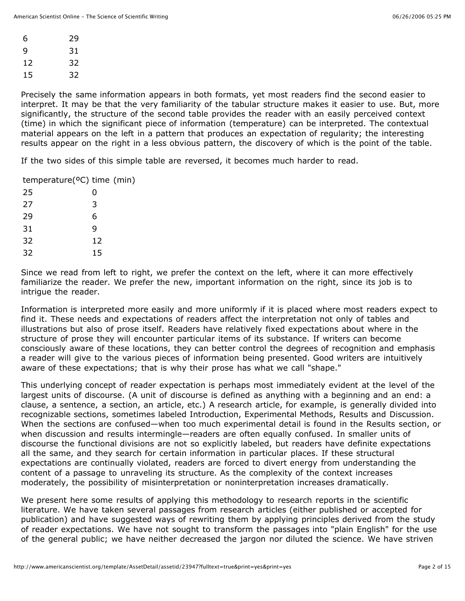| 6  | 29 |
|----|----|
| 9  | 31 |
| 12 | 32 |
| 15 | 32 |

Precisely the same information appears in both formats, yet most readers find the second easier to interpret. It may be that the very familiarity of the tabular structure makes it easier to use. But, more significantly, the structure of the second table provides the reader with an easily perceived context (time) in which the significant piece of information (temperature) can be interpreted. The contextual material appears on the left in a pattern that produces an expectation of regularity; the interesting results appear on the right in a less obvious pattern, the discovery of which is the point of the table.

If the two sides of this simple table are reversed, it becomes much harder to read.

temperature(ºC) time (min)

| 25 | 0  |
|----|----|
| 27 | 3  |
| 29 | 6  |
| 31 | 9  |
| 32 | 12 |
| 32 | 15 |
|    |    |

Since we read from left to right, we prefer the context on the left, where it can more effectively familiarize the reader. We prefer the new, important information on the right, since its job is to intrigue the reader.

Information is interpreted more easily and more uniformly if it is placed where most readers expect to find it. These needs and expectations of readers affect the interpretation not only of tables and illustrations but also of prose itself. Readers have relatively fixed expectations about where in the structure of prose they will encounter particular items of its substance. If writers can become consciously aware of these locations, they can better control the degrees of recognition and emphasis a reader will give to the various pieces of information being presented. Good writers are intuitively aware of these expectations; that is why their prose has what we call "shape."

This underlying concept of reader expectation is perhaps most immediately evident at the level of the largest units of discourse. (A unit of discourse is defined as anything with a beginning and an end: a clause, a sentence, a section, an article, etc.) A research article, for example, is generally divided into recognizable sections, sometimes labeled Introduction, Experimental Methods, Results and Discussion. When the sections are confused—when too much experimental detail is found in the Results section, or when discussion and results intermingle—readers are often equally confused. In smaller units of discourse the functional divisions are not so explicitly labeled, but readers have definite expectations all the same, and they search for certain information in particular places. If these structural expectations are continually violated, readers are forced to divert energy from understanding the content of a passage to unraveling its structure. As the complexity of the context increases moderately, the possibility of misinterpretation or noninterpretation increases dramatically.

We present here some results of applying this methodology to research reports in the scientific literature. We have taken several passages from research articles (either published or accepted for publication) and have suggested ways of rewriting them by applying principles derived from the study of reader expectations. We have not sought to transform the passages into "plain English" for the use of the general public; we have neither decreased the jargon nor diluted the science. We have striven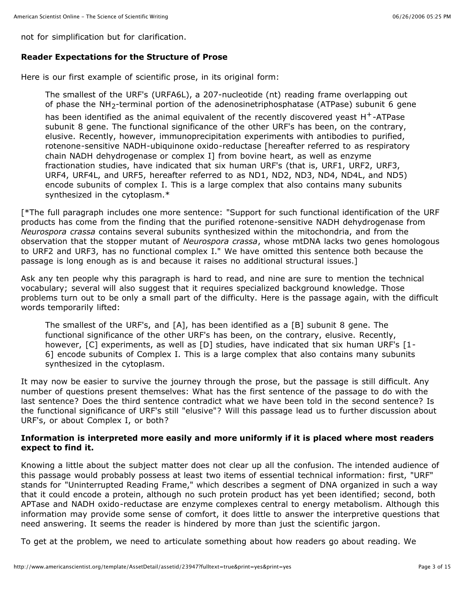not for simplification but for clarification.

#### **Reader Expectations for the Structure of Prose**

Here is our first example of scientific prose, in its original form:

The smallest of the URF's (URFA6L), a 207-nucleotide (nt) reading frame overlapping out of phase the NH<sub>2</sub>-terminal portion of the adenosinetriphosphatase (ATPase) subunit 6 gene

has been identified as the animal equivalent of the recently discovered yeast  $H^+$ -ATPase subunit 8 gene. The functional significance of the other URF's has been, on the contrary, elusive. Recently, however, immunoprecipitation experiments with antibodies to purified, rotenone-sensitive NADH-ubiquinone oxido-reductase [hereafter referred to as respiratory chain NADH dehydrogenase or complex I] from bovine heart, as well as enzyme fractionation studies, have indicated that six human URF's (that is, URF1, URF2, URF3, URF4, URF4L, and URF5, hereafter referred to as ND1, ND2, ND3, ND4, ND4L, and ND5) encode subunits of complex I. This is a large complex that also contains many subunits synthesized in the cytoplasm.\*

[\*The full paragraph includes one more sentence: "Support for such functional identification of the URF products has come from the finding that the purified rotenone-sensitive NADH dehydrogenase from *Neurospora crassa* contains several subunits synthesized within the mitochondria, and from the observation that the stopper mutant of *Neurospora crassa*, whose mtDNA lacks two genes homologous to URF2 and URF3, has no functional complex I." We have omitted this sentence both because the passage is long enough as is and because it raises no additional structural issues.]

Ask any ten people why this paragraph is hard to read, and nine are sure to mention the technical vocabulary; several will also suggest that it requires specialized background knowledge. Those problems turn out to be only a small part of the difficulty. Here is the passage again, with the difficult words temporarily lifted:

The smallest of the URF's, and [A], has been identified as a [B] subunit 8 gene. The functional significance of the other URF's has been, on the contrary, elusive. Recently, however, [C] experiments, as well as [D] studies, have indicated that six human URF's [1- 6] encode subunits of Complex I. This is a large complex that also contains many subunits synthesized in the cytoplasm.

It may now be easier to survive the journey through the prose, but the passage is still difficult. Any number of questions present themselves: What has the first sentence of the passage to do with the last sentence? Does the third sentence contradict what we have been told in the second sentence? Is the functional significance of URF's still "elusive"? Will this passage lead us to further discussion about URF's, or about Complex I, or both?

#### **Information is interpreted more easily and more uniformly if it is placed where most readers expect to find it.**

Knowing a little about the subject matter does not clear up all the confusion. The intended audience of this passage would probably possess at least two items of essential technical information: first, "URF" stands for "Uninterrupted Reading Frame," which describes a segment of DNA organized in such a way that it could encode a protein, although no such protein product has yet been identified; second, both APTase and NADH oxido-reductase are enzyme complexes central to energy metabolism. Although this information may provide some sense of comfort, it does little to answer the interpretive questions that need answering. It seems the reader is hindered by more than just the scientific jargon.

To get at the problem, we need to articulate something about how readers go about reading. We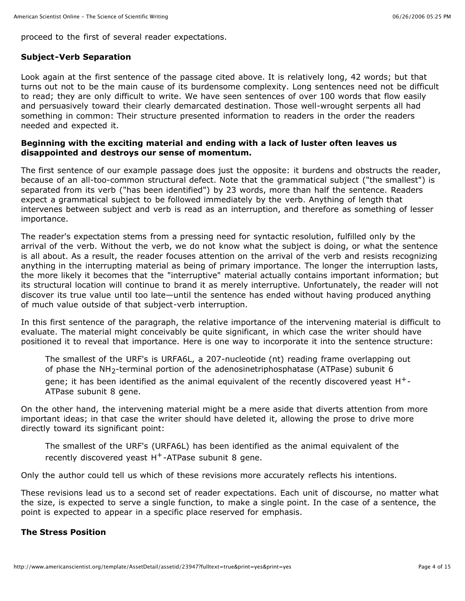proceed to the first of several reader expectations.

### **Subject-Verb Separation**

Look again at the first sentence of the passage cited above. It is relatively long, 42 words; but that turns out not to be the main cause of its burdensome complexity. Long sentences need not be difficult to read; they are only difficult to write. We have seen sentences of over 100 words that flow easily and persuasively toward their clearly demarcated destination. Those well-wrought serpents all had something in common: Their structure presented information to readers in the order the readers needed and expected it.

### **Beginning with the exciting material and ending with a lack of luster often leaves us disappointed and destroys our sense of momentum.**

The first sentence of our example passage does just the opposite: it burdens and obstructs the reader, because of an all-too-common structural defect. Note that the grammatical subject ("the smallest") is separated from its verb ("has been identified") by 23 words, more than half the sentence. Readers expect a grammatical subject to be followed immediately by the verb. Anything of length that intervenes between subject and verb is read as an interruption, and therefore as something of lesser importance.

The reader's expectation stems from a pressing need for syntactic resolution, fulfilled only by the arrival of the verb. Without the verb, we do not know what the subject is doing, or what the sentence is all about. As a result, the reader focuses attention on the arrival of the verb and resists recognizing anything in the interrupting material as being of primary importance. The longer the interruption lasts, the more likely it becomes that the "interruptive" material actually contains important information; but its structural location will continue to brand it as merely interruptive. Unfortunately, the reader will not discover its true value until too late—until the sentence has ended without having produced anything of much value outside of that subject-verb interruption.

In this first sentence of the paragraph, the relative importance of the intervening material is difficult to evaluate. The material might conceivably be quite significant, in which case the writer should have positioned it to reveal that importance. Here is one way to incorporate it into the sentence structure:

The smallest of the URF's is URFA6L, a 207-nucleotide (nt) reading frame overlapping out of phase the  $NH_2$ -terminal portion of the adenosinetriphosphatase (ATPase) subunit 6

gene; it has been identified as the animal equivalent of the recently discovered yeast  $H^+$ -ATPase subunit 8 gene.

On the other hand, the intervening material might be a mere aside that diverts attention from more important ideas; in that case the writer should have deleted it, allowing the prose to drive more directly toward its significant point:

The smallest of the URF's (URFA6L) has been identified as the animal equivalent of the recently discovered yeast  $H^+$ -ATPase subunit 8 gene.

Only the author could tell us which of these revisions more accurately reflects his intentions.

These revisions lead us to a second set of reader expectations. Each unit of discourse, no matter what the size, is expected to serve a single function, to make a single point. In the case of a sentence, the point is expected to appear in a specific place reserved for emphasis.

#### **The Stress Position**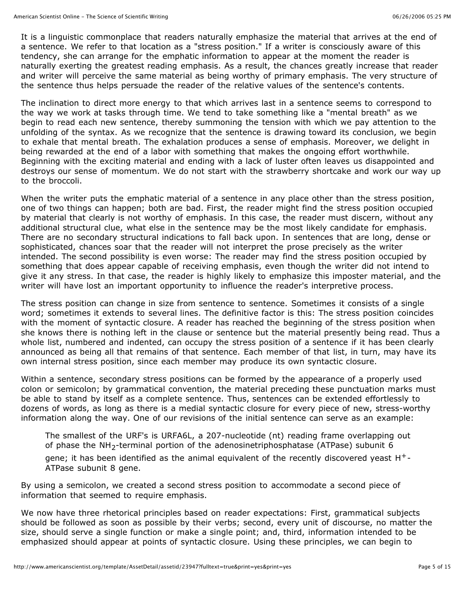It is a linguistic commonplace that readers naturally emphasize the material that arrives at the end of a sentence. We refer to that location as a "stress position." If a writer is consciously aware of this tendency, she can arrange for the emphatic information to appear at the moment the reader is naturally exerting the greatest reading emphasis. As a result, the chances greatly increase that reader and writer will perceive the same material as being worthy of primary emphasis. The very structure of the sentence thus helps persuade the reader of the relative values of the sentence's contents.

The inclination to direct more energy to that which arrives last in a sentence seems to correspond to the way we work at tasks through time. We tend to take something like a "mental breath" as we begin to read each new sentence, thereby summoning the tension with which we pay attention to the unfolding of the syntax. As we recognize that the sentence is drawing toward its conclusion, we begin to exhale that mental breath. The exhalation produces a sense of emphasis. Moreover, we delight in being rewarded at the end of a labor with something that makes the ongoing effort worthwhile. Beginning with the exciting material and ending with a lack of luster often leaves us disappointed and destroys our sense of momentum. We do not start with the strawberry shortcake and work our way up to the broccoli.

When the writer puts the emphatic material of a sentence in any place other than the stress position, one of two things can happen; both are bad. First, the reader might find the stress position occupied by material that clearly is not worthy of emphasis. In this case, the reader must discern, without any additional structural clue, what else in the sentence may be the most likely candidate for emphasis. There are no secondary structural indications to fall back upon. In sentences that are long, dense or sophisticated, chances soar that the reader will not interpret the prose precisely as the writer intended. The second possibility is even worse: The reader may find the stress position occupied by something that does appear capable of receiving emphasis, even though the writer did not intend to give it any stress. In that case, the reader is highly likely to emphasize this imposter material, and the writer will have lost an important opportunity to influence the reader's interpretive process.

The stress position can change in size from sentence to sentence. Sometimes it consists of a single word; sometimes it extends to several lines. The definitive factor is this: The stress position coincides with the moment of syntactic closure. A reader has reached the beginning of the stress position when she knows there is nothing left in the clause or sentence but the material presently being read. Thus a whole list, numbered and indented, can occupy the stress position of a sentence if it has been clearly announced as being all that remains of that sentence. Each member of that list, in turn, may have its own internal stress position, since each member may produce its own syntactic closure.

Within a sentence, secondary stress positions can be formed by the appearance of a properly used colon or semicolon; by grammatical convention, the material preceding these punctuation marks must be able to stand by itself as a complete sentence. Thus, sentences can be extended effortlessly to dozens of words, as long as there is a medial syntactic closure for every piece of new, stress-worthy information along the way. One of our revisions of the initial sentence can serve as an example:

The smallest of the URF's is URFA6L, a 207-nucleotide (nt) reading frame overlapping out of phase the  $NH_2$ -terminal portion of the adenosinetriphosphatase (ATPase) subunit 6 gene; it has been identified as the animal equivalent of the recently discovered yeast  $H^+$ -ATPase subunit 8 gene.

By using a semicolon, we created a second stress position to accommodate a second piece of information that seemed to require emphasis.

We now have three rhetorical principles based on reader expectations: First, grammatical subjects should be followed as soon as possible by their verbs; second, every unit of discourse, no matter the size, should serve a single function or make a single point; and, third, information intended to be emphasized should appear at points of syntactic closure. Using these principles, we can begin to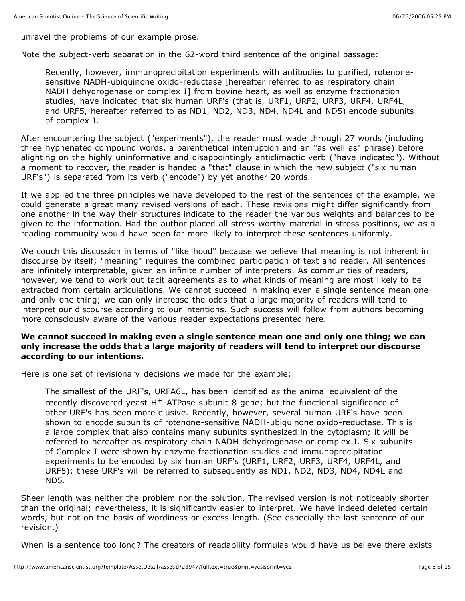unravel the problems of our example prose.

Note the subject-verb separation in the 62-word third sentence of the original passage:

Recently, however, immunoprecipitation experiments with antibodies to purified, rotenonesensitive NADH-ubiquinone oxido-reductase [hereafter referred to as respiratory chain NADH dehydrogenase or complex I] from bovine heart, as well as enzyme fractionation studies, have indicated that six human URF's (that is, URF1, URF2, URF3, URF4, URF4L, and URF5, hereafter referred to as ND1, ND2, ND3, ND4, ND4L and ND5) encode subunits of complex I.

After encountering the subject ("experiments"), the reader must wade through 27 words (including three hyphenated compound words, a parenthetical interruption and an "as well as" phrase) before alighting on the highly uninformative and disappointingly anticlimactic verb ("have indicated"). Without a moment to recover, the reader is handed a "that" clause in which the new subject ("six human URF's") is separated from its verb ("encode") by yet another 20 words.

If we applied the three principles we have developed to the rest of the sentences of the example, we could generate a great many revised versions of each. These revisions might differ significantly from one another in the way their structures indicate to the reader the various weights and balances to be given to the information. Had the author placed all stress-worthy material in stress positions, we as a reading community would have been far more likely to interpret these sentences uniformly.

We couch this discussion in terms of "likelihood" because we believe that meaning is not inherent in discourse by itself; "meaning" requires the combined participation of text and reader. All sentences are infinitely interpretable, given an infinite number of interpreters. As communities of readers, however, we tend to work out tacit agreements as to what kinds of meaning are most likely to be extracted from certain articulations. We cannot succeed in making even a single sentence mean one and only one thing; we can only increase the odds that a large majority of readers will tend to interpret our discourse according to our intentions. Such success will follow from authors becoming more consciously aware of the various reader expectations presented here.

### **We cannot succeed in making even a single sentence mean one and only one thing; we can only increase the odds that a large majority of readers will tend to interpret our discourse according to our intentions.**

Here is one set of revisionary decisions we made for the example:

The smallest of the URF's, URFA6L, has been identified as the animal equivalent of the recently discovered yeast  $H^+$ -ATPase subunit 8 gene; but the functional significance of other URF's has been more elusive. Recently, however, several human URF's have been shown to encode subunits of rotenone-sensitive NADH-ubiquinone oxido-reductase. This is a large complex that also contains many subunits synthesized in the cytoplasm; it will be referred to hereafter as respiratory chain NADH dehydrogenase or complex I. Six subunits of Complex I were shown by enzyme fractionation studies and immunoprecipitation experiments to be encoded by six human URF's (URF1, URF2, URF3, URF4, URF4L, and URF5); these URF's will be referred to subsequently as ND1, ND2, ND3, ND4, ND4L and ND5.

Sheer length was neither the problem nor the solution. The revised version is not noticeably shorter than the original; nevertheless, it is significantly easier to interpret. We have indeed deleted certain words, but not on the basis of wordiness or excess length. (See especially the last sentence of our revision.)

When is a sentence too long? The creators of readability formulas would have us believe there exists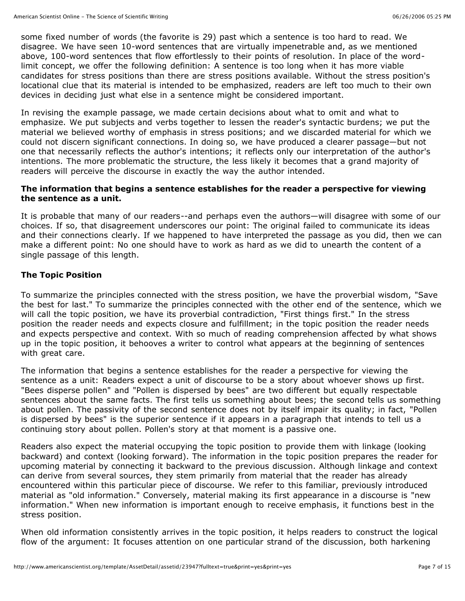some fixed number of words (the favorite is 29) past which a sentence is too hard to read. We disagree. We have seen 10-word sentences that are virtually impenetrable and, as we mentioned above, 100-word sentences that flow effortlessly to their points of resolution. In place of the wordlimit concept, we offer the following definition: A sentence is too long when it has more viable candidates for stress positions than there are stress positions available. Without the stress position's locational clue that its material is intended to be emphasized, readers are left too much to their own devices in deciding just what else in a sentence might be considered important.

In revising the example passage, we made certain decisions about what to omit and what to emphasize. We put subjects and verbs together to lessen the reader's syntactic burdens; we put the material we believed worthy of emphasis in stress positions; and we discarded material for which we could not discern significant connections. In doing so, we have produced a clearer passage—but not one that necessarily reflects the author's intentions; it reflects only our interpretation of the author's intentions. The more problematic the structure, the less likely it becomes that a grand majority of readers will perceive the discourse in exactly the way the author intended.

## **The information that begins a sentence establishes for the reader a perspective for viewing the sentence as a unit.**

It is probable that many of our readers--and perhaps even the authors—will disagree with some of our choices. If so, that disagreement underscores our point: The original failed to communicate its ideas and their connections clearly. If we happened to have interpreted the passage as you did, then we can make a different point: No one should have to work as hard as we did to unearth the content of a single passage of this length.

# **The Topic Position**

To summarize the principles connected with the stress position, we have the proverbial wisdom, "Save the best for last." To summarize the principles connected with the other end of the sentence, which we will call the topic position, we have its proverbial contradiction, "First things first." In the stress position the reader needs and expects closure and fulfillment; in the topic position the reader needs and expects perspective and context. With so much of reading comprehension affected by what shows up in the topic position, it behooves a writer to control what appears at the beginning of sentences with great care.

The information that begins a sentence establishes for the reader a perspective for viewing the sentence as a unit: Readers expect a unit of discourse to be a story about whoever shows up first. "Bees disperse pollen" and "Pollen is dispersed by bees" are two different but equally respectable sentences about the same facts. The first tells us something about bees; the second tells us something about pollen. The passivity of the second sentence does not by itself impair its quality; in fact, "Pollen is dispersed by bees" is the superior sentence if it appears in a paragraph that intends to tell us a continuing story about pollen. Pollen's story at that moment is a passive one.

Readers also expect the material occupying the topic position to provide them with linkage (looking backward) and context (looking forward). The information in the topic position prepares the reader for upcoming material by connecting it backward to the previous discussion. Although linkage and context can derive from several sources, they stem primarily from material that the reader has already encountered within this particular piece of discourse. We refer to this familiar, previously introduced material as "old information." Conversely, material making its first appearance in a discourse is "new information." When new information is important enough to receive emphasis, it functions best in the stress position.

When old information consistently arrives in the topic position, it helps readers to construct the logical flow of the argument: It focuses attention on one particular strand of the discussion, both harkening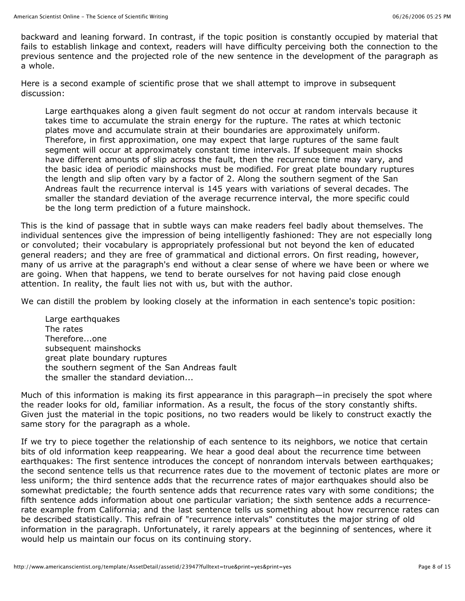backward and leaning forward. In contrast, if the topic position is constantly occupied by material that fails to establish linkage and context, readers will have difficulty perceiving both the connection to the previous sentence and the projected role of the new sentence in the development of the paragraph as a whole.

Here is a second example of scientific prose that we shall attempt to improve in subsequent discussion:

Large earthquakes along a given fault segment do not occur at random intervals because it takes time to accumulate the strain energy for the rupture. The rates at which tectonic plates move and accumulate strain at their boundaries are approximately uniform. Therefore, in first approximation, one may expect that large ruptures of the same fault segment will occur at approximately constant time intervals. If subsequent main shocks have different amounts of slip across the fault, then the recurrence time may vary, and the basic idea of periodic mainshocks must be modified. For great plate boundary ruptures the length and slip often vary by a factor of 2. Along the southern segment of the San Andreas fault the recurrence interval is 145 years with variations of several decades. The smaller the standard deviation of the average recurrence interval, the more specific could be the long term prediction of a future mainshock.

This is the kind of passage that in subtle ways can make readers feel badly about themselves. The individual sentences give the impression of being intelligently fashioned: They are not especially long or convoluted; their vocabulary is appropriately professional but not beyond the ken of educated general readers; and they are free of grammatical and dictional errors. On first reading, however, many of us arrive at the paragraph's end without a clear sense of where we have been or where we are going. When that happens, we tend to berate ourselves for not having paid close enough attention. In reality, the fault lies not with us, but with the author.

We can distill the problem by looking closely at the information in each sentence's topic position:

Large earthquakes The rates Therefore...one subsequent mainshocks great plate boundary ruptures the southern segment of the San Andreas fault the smaller the standard deviation...

Much of this information is making its first appearance in this paragraph—in precisely the spot where the reader looks for old, familiar information. As a result, the focus of the story constantly shifts. Given just the material in the topic positions, no two readers would be likely to construct exactly the same story for the paragraph as a whole.

If we try to piece together the relationship of each sentence to its neighbors, we notice that certain bits of old information keep reappearing. We hear a good deal about the recurrence time between earthquakes: The first sentence introduces the concept of nonrandom intervals between earthquakes; the second sentence tells us that recurrence rates due to the movement of tectonic plates are more or less uniform; the third sentence adds that the recurrence rates of major earthquakes should also be somewhat predictable; the fourth sentence adds that recurrence rates vary with some conditions; the fifth sentence adds information about one particular variation; the sixth sentence adds a recurrencerate example from California; and the last sentence tells us something about how recurrence rates can be described statistically. This refrain of "recurrence intervals" constitutes the major string of old information in the paragraph. Unfortunately, it rarely appears at the beginning of sentences, where it would help us maintain our focus on its continuing story.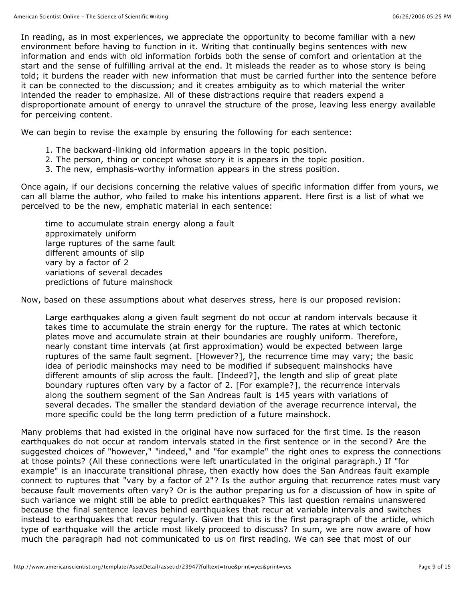In reading, as in most experiences, we appreciate the opportunity to become familiar with a new environment before having to function in it. Writing that continually begins sentences with new information and ends with old information forbids both the sense of comfort and orientation at the start and the sense of fulfilling arrival at the end. It misleads the reader as to whose story is being told; it burdens the reader with new information that must be carried further into the sentence before it can be connected to the discussion; and it creates ambiguity as to which material the writer intended the reader to emphasize. All of these distractions require that readers expend a disproportionate amount of energy to unravel the structure of the prose, leaving less energy available for perceiving content.

We can begin to revise the example by ensuring the following for each sentence:

- 1. The backward-linking old information appears in the topic position.
- 2. The person, thing or concept whose story it is appears in the topic position.
- 3. The new, emphasis-worthy information appears in the stress position.

Once again, if our decisions concerning the relative values of specific information differ from yours, we can all blame the author, who failed to make his intentions apparent. Here first is a list of what we perceived to be the new, emphatic material in each sentence:

time to accumulate strain energy along a fault approximately uniform large ruptures of the same fault different amounts of slip vary by a factor of 2 variations of several decades predictions of future mainshock

Now, based on these assumptions about what deserves stress, here is our proposed revision:

Large earthquakes along a given fault segment do not occur at random intervals because it takes time to accumulate the strain energy for the rupture. The rates at which tectonic plates move and accumulate strain at their boundaries are roughly uniform. Therefore, nearly constant time intervals (at first approximation) would be expected between large ruptures of the same fault segment. [However?], the recurrence time may vary; the basic idea of periodic mainshocks may need to be modified if subsequent mainshocks have different amounts of slip across the fault. [Indeed?], the length and slip of great plate boundary ruptures often vary by a factor of 2. [For example?], the recurrence intervals along the southern segment of the San Andreas fault is 145 years with variations of several decades. The smaller the standard deviation of the average recurrence interval, the more specific could be the long term prediction of a future mainshock.

Many problems that had existed in the original have now surfaced for the first time. Is the reason earthquakes do not occur at random intervals stated in the first sentence or in the second? Are the suggested choices of "however," "indeed," and "for example" the right ones to express the connections at those points? (All these connections were left unarticulated in the original paragraph.) If "for example" is an inaccurate transitional phrase, then exactly how does the San Andreas fault example connect to ruptures that "vary by a factor of 2"? Is the author arguing that recurrence rates must vary because fault movements often vary? Or is the author preparing us for a discussion of how in spite of such variance we might still be able to predict earthquakes? This last question remains unanswered because the final sentence leaves behind earthquakes that recur at variable intervals and switches instead to earthquakes that recur regularly. Given that this is the first paragraph of the article, which type of earthquake will the article most likely proceed to discuss? In sum, we are now aware of how much the paragraph had not communicated to us on first reading. We can see that most of our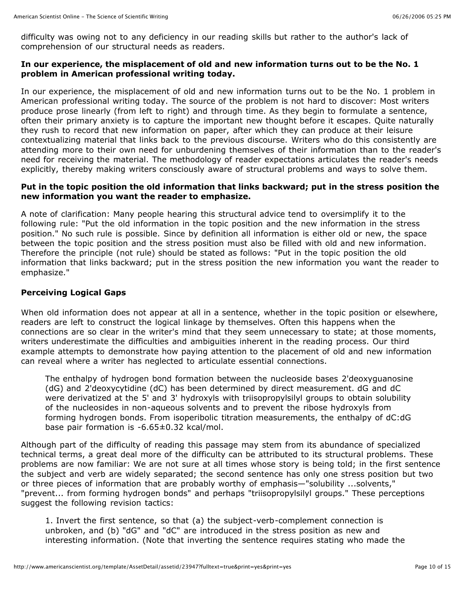difficulty was owing not to any deficiency in our reading skills but rather to the author's lack of comprehension of our structural needs as readers.

## **In our experience, the misplacement of old and new information turns out to be the No. 1 problem in American professional writing today.**

In our experience, the misplacement of old and new information turns out to be the No. 1 problem in American professional writing today. The source of the problem is not hard to discover: Most writers produce prose linearly (from left to right) and through time. As they begin to formulate a sentence, often their primary anxiety is to capture the important new thought before it escapes. Quite naturally they rush to record that new information on paper, after which they can produce at their leisure contextualizing material that links back to the previous discourse. Writers who do this consistently are attending more to their own need for unburdening themselves of their information than to the reader's need for receiving the material. The methodology of reader expectations articulates the reader's needs explicitly, thereby making writers consciously aware of structural problems and ways to solve them.

### **Put in the topic position the old information that links backward; put in the stress position the new information you want the reader to emphasize.**

A note of clarification: Many people hearing this structural advice tend to oversimplify it to the following rule: "Put the old information in the topic position and the new information in the stress position." No such rule is possible. Since by definition all information is either old or new, the space between the topic position and the stress position must also be filled with old and new information. Therefore the principle (not rule) should be stated as follows: "Put in the topic position the old information that links backward; put in the stress position the new information you want the reader to emphasize."

# **Perceiving Logical Gaps**

When old information does not appear at all in a sentence, whether in the topic position or elsewhere, readers are left to construct the logical linkage by themselves. Often this happens when the connections are so clear in the writer's mind that they seem unnecessary to state; at those moments, writers underestimate the difficulties and ambiguities inherent in the reading process. Our third example attempts to demonstrate how paying attention to the placement of old and new information can reveal where a writer has neglected to articulate essential connections.

The enthalpy of hydrogen bond formation between the nucleoside bases 2'deoxyguanosine (dG) and 2'deoxycytidine (dC) has been determined by direct measurement. dG and dC were derivatized at the 5' and 3' hydroxyls with triisopropylsilyl groups to obtain solubility of the nucleosides in non-aqueous solvents and to prevent the ribose hydroxyls from forming hydrogen bonds. From isoperibolic titration measurements, the enthalpy of dC:dG base pair formation is -6.65±0.32 kcal/mol.

Although part of the difficulty of reading this passage may stem from its abundance of specialized technical terms, a great deal more of the difficulty can be attributed to its structural problems. These problems are now familiar: We are not sure at all times whose story is being told; in the first sentence the subject and verb are widely separated; the second sentence has only one stress position but two or three pieces of information that are probably worthy of emphasis—"solubility ...solvents," "prevent... from forming hydrogen bonds" and perhaps "triisopropylsilyl groups." These perceptions suggest the following revision tactics:

1. Invert the first sentence, so that (a) the subject-verb-complement connection is unbroken, and (b) "dG" and "dC" are introduced in the stress position as new and interesting information. (Note that inverting the sentence requires stating who made the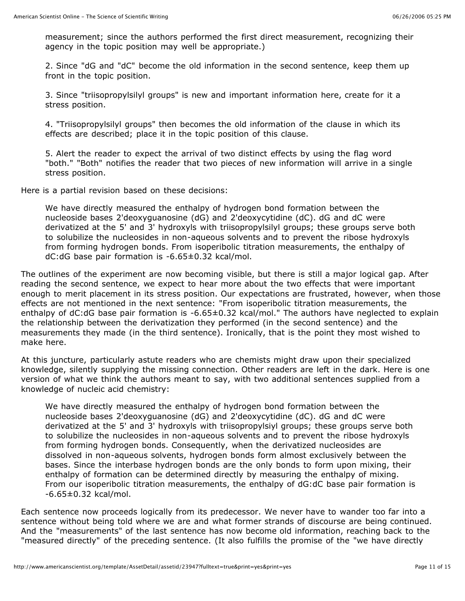measurement; since the authors performed the first direct measurement, recognizing their agency in the topic position may well be appropriate.)

2. Since "dG and "dC" become the old information in the second sentence, keep them up front in the topic position.

3. Since "triisopropylsilyl groups" is new and important information here, create for it a stress position.

4. "Triisopropylsilyl groups" then becomes the old information of the clause in which its effects are described; place it in the topic position of this clause.

5. Alert the reader to expect the arrival of two distinct effects by using the flag word "both." "Both" notifies the reader that two pieces of new information will arrive in a single stress position.

Here is a partial revision based on these decisions:

We have directly measured the enthalpy of hydrogen bond formation between the nucleoside bases 2'deoxyguanosine (dG) and 2'deoxycytidine (dC). dG and dC were derivatized at the 5' and 3' hydroxyls with triisopropylsilyl groups; these groups serve both to solubilize the nucleosides in non-aqueous solvents and to prevent the ribose hydroxyls from forming hydrogen bonds. From isoperibolic titration measurements, the enthalpy of dC:dG base pair formation is -6.65±0.32 kcal/mol.

The outlines of the experiment are now becoming visible, but there is still a major logical gap. After reading the second sentence, we expect to hear more about the two effects that were important enough to merit placement in its stress position. Our expectations are frustrated, however, when those effects are not mentioned in the next sentence: "From isoperibolic titration measurements, the enthalpy of dC:dG base pair formation is -6.65±0.32 kcal/mol." The authors have neglected to explain the relationship between the derivatization they performed (in the second sentence) and the measurements they made (in the third sentence). Ironically, that is the point they most wished to make here.

At this juncture, particularly astute readers who are chemists might draw upon their specialized knowledge, silently supplying the missing connection. Other readers are left in the dark. Here is one version of what we think the authors meant to say, with two additional sentences supplied from a knowledge of nucleic acid chemistry:

We have directly measured the enthalpy of hydrogen bond formation between the nucleoside bases 2'deoxyguanosine (dG) and 2'deoxycytidine (dC). dG and dC were derivatized at the 5' and 3' hydroxyls with triisopropylsiyl groups; these groups serve both to solubilize the nucleosides in non-aqueous solvents and to prevent the ribose hydroxyls from forming hydrogen bonds. Consequently, when the derivatized nucleosides are dissolved in non-aqueous solvents, hydrogen bonds form almost exclusively between the bases. Since the interbase hydrogen bonds are the only bonds to form upon mixing, their enthalpy of formation can be determined directly by measuring the enthalpy of mixing. From our isoperibolic titration measurements, the enthalpy of dG:dC base pair formation is -6.65±0.32 kcal/mol.

Each sentence now proceeds logically from its predecessor. We never have to wander too far into a sentence without being told where we are and what former strands of discourse are being continued. And the "measurements" of the last sentence has now become old information, reaching back to the "measured directly" of the preceding sentence. (It also fulfills the promise of the "we have directly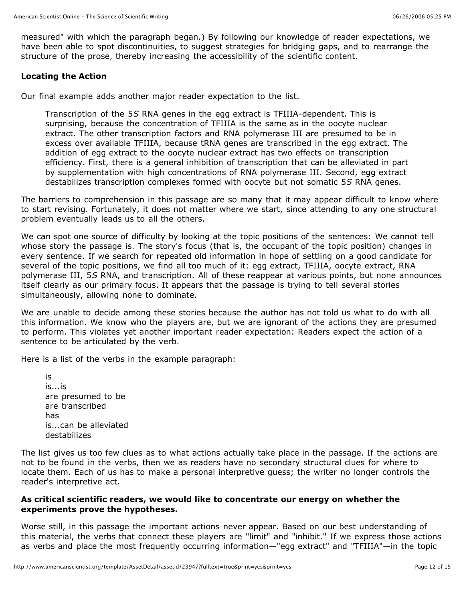measured" with which the paragraph began.) By following our knowledge of reader expectations, we have been able to spot discontinuities, to suggest strategies for bridging gaps, and to rearrange the structure of the prose, thereby increasing the accessibility of the scientific content.

### **Locating the Action**

Our final example adds another major reader expectation to the list.

Transcription of the 5*S* RNA genes in the egg extract is TFIIIA-dependent. This is surprising, because the concentration of TFIIIA is the same as in the oocyte nuclear extract. The other transcription factors and RNA polymerase III are presumed to be in excess over available TFIIIA, because tRNA genes are transcribed in the egg extract. The addition of egg extract to the oocyte nuclear extract has two effects on transcription efficiency. First, there is a general inhibition of transcription that can be alleviated in part by supplementation with high concentrations of RNA polymerase III. Second, egg extract destabilizes transcription complexes formed with oocyte but not somatic 5*S* RNA genes.

The barriers to comprehension in this passage are so many that it may appear difficult to know where to start revising. Fortunately, it does not matter where we start, since attending to any one structural problem eventually leads us to all the others.

We can spot one source of difficulty by looking at the topic positions of the sentences: We cannot tell whose story the passage is. The story's focus (that is, the occupant of the topic position) changes in every sentence. If we search for repeated old information in hope of settling on a good candidate for several of the topic positions, we find all too much of it: egg extract, TFIIIA, oocyte extract, RNA polymerase III, 5*S* RNA, and transcription. All of these reappear at various points, but none announces itself clearly as our primary focus. It appears that the passage is trying to tell several stories simultaneously, allowing none to dominate.

We are unable to decide among these stories because the author has not told us what to do with all this information. We know who the players are, but we are ignorant of the actions they are presumed to perform. This violates yet another important reader expectation: Readers expect the action of a sentence to be articulated by the verb.

Here is a list of the verbs in the example paragraph:

is is...is are presumed to be are transcribed has is...can be alleviated destabilizes

The list gives us too few clues as to what actions actually take place in the passage. If the actions are not to be found in the verbs, then we as readers have no secondary structural clues for where to locate them. Each of us has to make a personal interpretive guess; the writer no longer controls the reader's interpretive act.

## **As critical scientific readers, we would like to concentrate our energy on whether the experiments prove the hypotheses.**

Worse still, in this passage the important actions never appear. Based on our best understanding of this material, the verbs that connect these players are "limit" and "inhibit." If we express those actions as verbs and place the most frequently occurring information—"egg extract" and "TFIIIA"—in the topic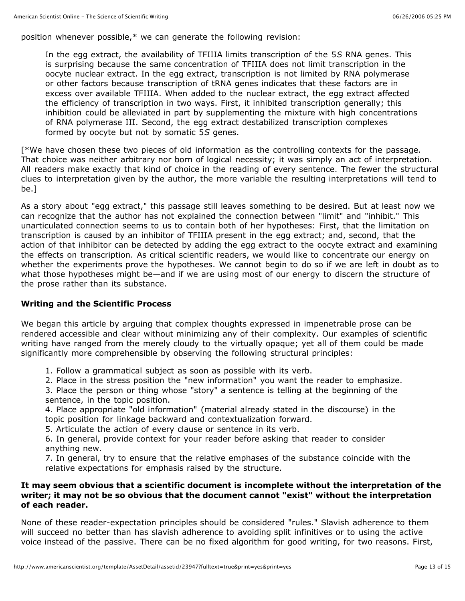position whenever possible,\* we can generate the following revision:

In the egg extract, the availability of TFIIIA limits transcription of the 5*S* RNA genes. This is surprising because the same concentration of TFIIIA does not limit transcription in the oocyte nuclear extract. In the egg extract, transcription is not limited by RNA polymerase or other factors because transcription of tRNA genes indicates that these factors are in excess over available TFIIIA. When added to the nuclear extract, the egg extract affected the efficiency of transcription in two ways. First, it inhibited transcription generally; this inhibition could be alleviated in part by supplementing the mixture with high concentrations of RNA polymerase III. Second, the egg extract destabilized transcription complexes formed by oocyte but not by somatic 5*S* genes.

[\*We have chosen these two pieces of old information as the controlling contexts for the passage. That choice was neither arbitrary nor born of logical necessity; it was simply an act of interpretation. All readers make exactly that kind of choice in the reading of every sentence. The fewer the structural clues to interpretation given by the author, the more variable the resulting interpretations will tend to be.]

As a story about "egg extract," this passage still leaves something to be desired. But at least now we can recognize that the author has not explained the connection between "limit" and "inhibit." This unarticulated connection seems to us to contain both of her hypotheses: First, that the limitation on transcription is caused by an inhibitor of TFIIIA present in the egg extract; and, second, that the action of that inhibitor can be detected by adding the egg extract to the oocyte extract and examining the effects on transcription. As critical scientific readers, we would like to concentrate our energy on whether the experiments prove the hypotheses. We cannot begin to do so if we are left in doubt as to what those hypotheses might be—and if we are using most of our energy to discern the structure of the prose rather than its substance.

# **Writing and the Scientific Process**

We began this article by arguing that complex thoughts expressed in impenetrable prose can be rendered accessible and clear without minimizing any of their complexity. Our examples of scientific writing have ranged from the merely cloudy to the virtually opaque; yet all of them could be made significantly more comprehensible by observing the following structural principles:

1. Follow a grammatical subject as soon as possible with its verb.

2. Place in the stress position the "new information" you want the reader to emphasize.

3. Place the person or thing whose "story" a sentence is telling at the beginning of the sentence, in the topic position.

4. Place appropriate "old information" (material already stated in the discourse) in the topic position for linkage backward and contextualization forward.

5. Articulate the action of every clause or sentence in its verb.

6. In general, provide context for your reader before asking that reader to consider anything new.

7. In general, try to ensure that the relative emphases of the substance coincide with the relative expectations for emphasis raised by the structure.

## **It may seem obvious that a scientific document is incomplete without the interpretation of the writer; it may not be so obvious that the document cannot "exist" without the interpretation of each reader.**

None of these reader-expectation principles should be considered "rules." Slavish adherence to them will succeed no better than has slavish adherence to avoiding split infinitives or to using the active voice instead of the passive. There can be no fixed algorithm for good writing, for two reasons. First,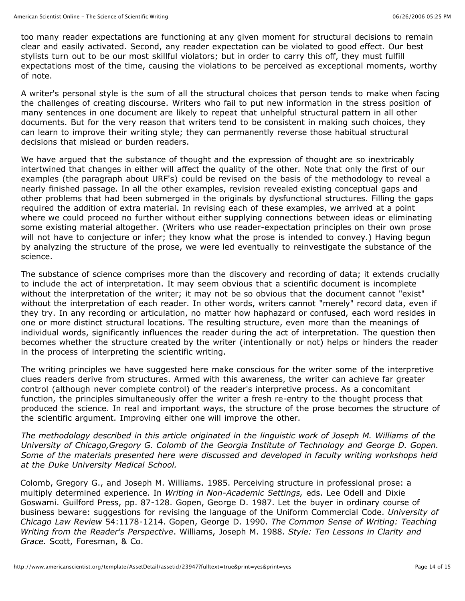too many reader expectations are functioning at any given moment for structural decisions to remain clear and easily activated. Second, any reader expectation can be violated to good effect. Our best stylists turn out to be our most skillful violators; but in order to carry this off, they must fulfill expectations most of the time, causing the violations to be perceived as exceptional moments, worthy of note.

A writer's personal style is the sum of all the structural choices that person tends to make when facing the challenges of creating discourse. Writers who fail to put new information in the stress position of many sentences in one document are likely to repeat that unhelpful structural pattern in all other documents. But for the very reason that writers tend to be consistent in making such choices, they can learn to improve their writing style; they can permanently reverse those habitual structural decisions that mislead or burden readers.

We have argued that the substance of thought and the expression of thought are so inextricably intertwined that changes in either will affect the quality of the other. Note that only the first of our examples (the paragraph about URF's) could be revised on the basis of the methodology to reveal a nearly finished passage. In all the other examples, revision revealed existing conceptual gaps and other problems that had been submerged in the originals by dysfunctional structures. Filling the gaps required the addition of extra material. In revising each of these examples, we arrived at a point where we could proceed no further without either supplying connections between ideas or eliminating some existing material altogether. (Writers who use reader-expectation principles on their own prose will not have to conjecture or infer; they know what the prose is intended to convey.) Having begun by analyzing the structure of the prose, we were led eventually to reinvestigate the substance of the science.

The substance of science comprises more than the discovery and recording of data; it extends crucially to include the act of interpretation. It may seem obvious that a scientific document is incomplete without the interpretation of the writer; it may not be so obvious that the document cannot "exist" without the interpretation of each reader. In other words, writers cannot "merely" record data, even if they try. In any recording or articulation, no matter how haphazard or confused, each word resides in one or more distinct structural locations. The resulting structure, even more than the meanings of individual words, significantly influences the reader during the act of interpretation. The question then becomes whether the structure created by the writer (intentionally or not) helps or hinders the reader in the process of interpreting the scientific writing.

The writing principles we have suggested here make conscious for the writer some of the interpretive clues readers derive from structures. Armed with this awareness, the writer can achieve far greater control (although never complete control) of the reader's interpretive process. As a concomitant function, the principles simultaneously offer the writer a fresh re-entry to the thought process that produced the science. In real and important ways, the structure of the prose becomes the structure of the scientific argument. Improving either one will improve the other.

*The methodology described in this article originated in the linguistic work of Joseph M. Williams of the University of Chicago,Gregory G. Colomb of the Georgia Institute of Technology and George D. Gopen. Some of the materials presented here were discussed and developed in faculty writing workshops held at the Duke University Medical School.*

Colomb, Gregory G., and Joseph M. Williams. 1985. Perceiving structure in professional prose: a multiply determined experience. In *Writing in Non-Academic Settings,* eds. Lee Odell and Dixie Goswami. Guilford Press, pp. 87-128. Gopen, George D. 1987. Let the buyer in ordinary course of business beware: suggestions for revising the language of the Uniform Commercial Code. *University of Chicago Law Review* 54:1178-1214. Gopen, George D. 1990. *The Common Sense of Writing: Teaching Writing from the Reader's Perspective*. Williams, Joseph M. 1988. *Style: Ten Lessons in Clarity and Grace.* Scott, Foresman, & Co.